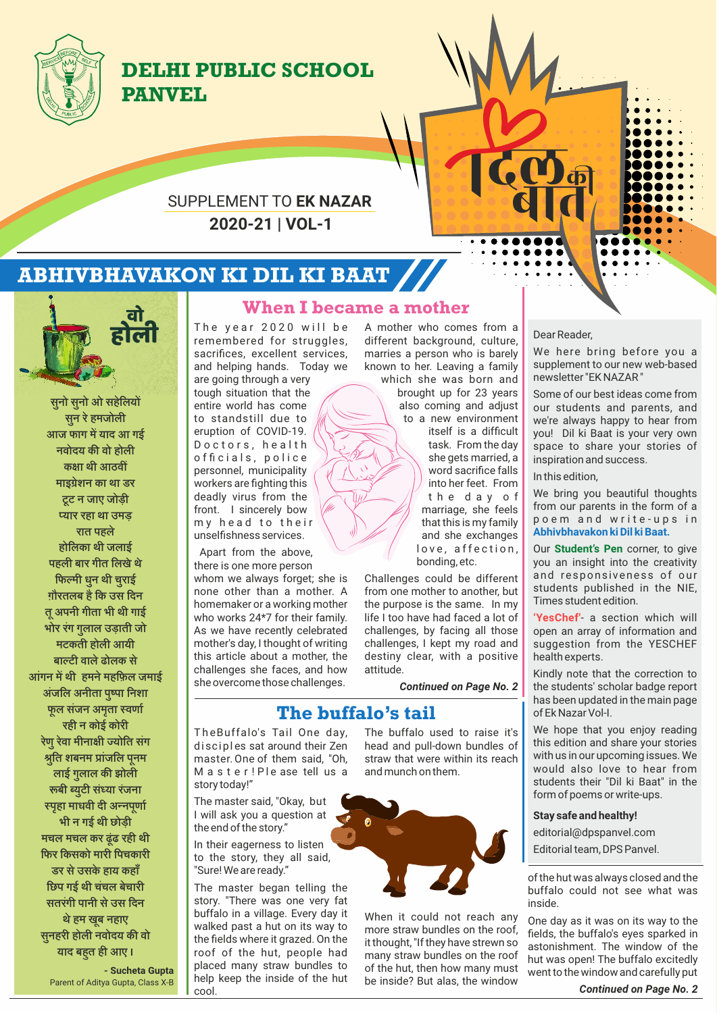

# **DELHI PUBLIC SCHOOL PANVEL**

## **2020-21 | VOL-1** SUPPLEMENT TO **EK NAZAR**

# **ABHIVBHAVAKON KI DIL KI BAAT**



**सनो सनो ओ सहि ु ु ेलय सन र ु ेहमजोली आज फाग म याद आ गई नवोदय क वो होली कक्षा थी आठवीं माइशे न का था डर टट न जाए जोड़ी ू यार रहा था उमड़ रात पहले होिलका थी जलाई पहली बार गीत िलखे थ े िफमी धन थी चराई ु ु ग़ौरतलब है िक उस िदन त अपनी गीता भी थी गाई ू भोर रगं गलाल उड़ाती जो ु मटकती होली आयी बाटी वाले ढोलक स े आगं न म थी हमन ेमहिफ़ल जमाई अजं िल अनीता पपा िनशा ु फल सज ू ं न अमता वणा ृ रही न कोई कोरी रणे रव ुेा मीनाी योित सगं ित शबनम ाज ु ं िल पनम ू** .<br>लाई गुलाल की झोली **बी यटी स ु ं या रजं ना पहा माधवी दी अनपणा ृ ू भी न गई थी छोड़ी मचल मचल कर ढूंढ रही थी िफर िकसको मारी िपचकारी डर स ेउसके हाय कहा ँ िछप गई थी चचं ल बेचारी सतरगं ी पानी स ेउस िदन थ ेहम खब नहाए ू सुनहरी होली नवोदय की वो याद बहत ही आए ।** 

**- Sucheta Gupta** Parent of Aditya Gupta, Class X-B

### **When I became a mother**

The year 2020 will be remembered for struggles, sacrifices, excellent services, and helping hands. Today we

are going through a very tough situation that the entire world has come to standstill due to eruption of COVID-19. Doctors, health officials, police personnel, municipality workers are fighting this deadly virus from the front. I sincerely bow my head to their unselfishness services.

Apart from the above, there is one more person whom we always forget; she is none other than a mother. A homemaker or a working mother who works 24\*7 for their family. As we have recently celebrated mother's day, I thought of writing this article about a mother, the challenges she faces, and how she overcome those challenges.

A mother who comes from a different background, culture, marries a person who is barely known to her. Leaving a family which she was born and brought up for 23 years also coming and adjust

> to a new environment itself is a difficult task. From the day she gets married, a word sacrifice falls into her feet. From t h e d a y o f marriage, she feels that this is my family and she exchanges love, affection, bonding, etc.

Challenges could be different from one mother to another, but the purpose is the same. In my life I too have had faced a lot of challenges, by facing all those challenges, I kept my road and destiny clear, with a positive attitude.

*Continued on Page No. 2*

# **The buffalo's tail**

The Buffalo's Tail One day, disciples sat around their Zen master. One of them said, "Oh, M a s t e r ! P l e ase tell us a story today!"

The master said, "Okay, but I will ask you a question at the end of the story."

In their eagerness to listen to the story, they all said, "Sure! We are ready."

The master began telling the story. "There was one very fat buffalo in a village. Every day it walked past a hut on its way to the fields where it grazed. On the roof of the hut, people had placed many straw bundles to help keep the inside of the hut cool.

The buffalo used to raise it's head and pull-down bundles of straw that were within its reach and munch on them.



When it could not reach any more straw bundles on the roof, it thought, "If they have strewn so many straw bundles on the roof of the hut, then how many must be inside? But alas, the window

#### Dear Reader,

We here bring before you a supplement to our new web-based newsletter "EK NAZAR "

Some of our best ideas come from our students and parents, and we're always happy to hear from you! Dil ki Baat is your very own space to share your stories of inspiration and success.

In this edition,

We bring you beautiful thoughts from our parents in the form of a poem and write-ups in **Abhivbhavakon ki Dil ki Baat.**

Our **Student's Pen** corner, to give you an insight into the creativity and responsiveness of our students published in the NIE, Times student edition.

**'YesChef'**- a section which will open an array of information and suggestion from the YESCHEF health experts.

Kindly note that the correction to the students' scholar badge report has been updated in the main page of Ek Nazar Vol-I.

We hope that you enjoy reading this edition and share your stories with us in our upcoming issues. We would also love to hear from students their "Dil ki Baat" in the form of poems or write-ups.

#### **Stay safe and healthy!**

editorial@dpspanvel.com

Editorial team, DPS Panvel.

of the hut was always closed and the buffalo could not see what was inside.

One day as it was on its way to the fields, the buffalo's eyes sparked in astonishment. The window of the hut was open! The buffalo excitedly went to the window and carefully put